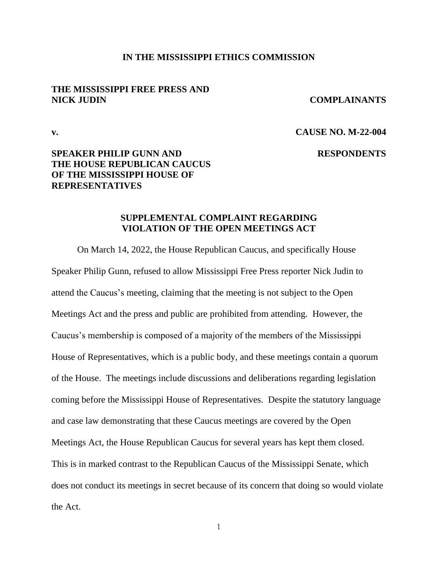### **IN THE MISSISSIPPI ETHICS COMMISSION**

## **THE MISSISSIPPI FREE PRESS AND NICK JUDIN COMPLAINANTS**

## **v. CAUSE NO. M-22-004**

## **SPEAKER PHILIP GUNN AND RESPONDENTS THE HOUSE REPUBLICAN CAUCUS OF THE MISSISSIPPI HOUSE OF REPRESENTATIVES**

## **SUPPLEMENTAL COMPLAINT REGARDING VIOLATION OF THE OPEN MEETINGS ACT**

On March 14, 2022, the House Republican Caucus, and specifically House Speaker Philip Gunn, refused to allow Mississippi Free Press reporter Nick Judin to attend the Caucus's meeting, claiming that the meeting is not subject to the Open Meetings Act and the press and public are prohibited from attending. However, the Caucus's membership is composed of a majority of the members of the Mississippi House of Representatives, which is a public body, and these meetings contain a quorum of the House. The meetings include discussions and deliberations regarding legislation coming before the Mississippi House of Representatives. Despite the statutory language and case law demonstrating that these Caucus meetings are covered by the Open Meetings Act, the House Republican Caucus for several years has kept them closed. This is in marked contrast to the Republican Caucus of the Mississippi Senate, which does not conduct its meetings in secret because of its concern that doing so would violate the Act.

1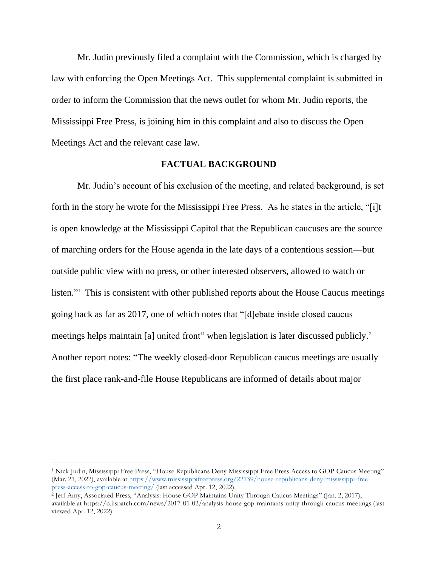Mr. Judin previously filed a complaint with the Commission, which is charged by law with enforcing the Open Meetings Act. This supplemental complaint is submitted in order to inform the Commission that the news outlet for whom Mr. Judin reports, the Mississippi Free Press, is joining him in this complaint and also to discuss the Open Meetings Act and the relevant case law.

## **FACTUAL BACKGROUND**

Mr. Judin's account of his exclusion of the meeting, and related background, is set forth in the story he wrote for the Mississippi Free Press. As he states in the article, "[i]t is open knowledge at the Mississippi Capitol that the Republican caucuses are the source of marching orders for the House agenda in the late days of a contentious session—but outside public view with no press, or other interested observers, allowed to watch or listen."<sup>1</sup> This is consistent with other published reports about the House Caucus meetings going back as far as 2017, one of which notes that "[d]ebate inside closed caucus meetings helps maintain [a] united front" when legislation is later discussed publicly.<sup>2</sup> Another report notes: "The weekly closed-door Republican caucus meetings are usually the first place rank-and-file House Republicans are informed of details about major

<sup>1</sup> Nick Judin, Mississippi Free Press, "House Republicans Deny Mississippi Free Press Access to GOP Caucus Meeting" (Mar. 21, 2022), available a[t https://www.mississippifreepress.org/22139/house-republicans-deny-mississippi-free](https://www.mississippifreepress.org/22139/house-republicans-deny-mississippi-free-press-access-to-gop-caucus-meeting/)p<u>ress-access-to-gop-caucus-meeting/</u> (last accessed Apr. 12, 2022).<br><sup>2</sup> Jeff Amy, Associated Press, ''Analysis: House GOP Maintains Unity Through Caucus Meetings'' (Jan. 2, 2017),

available at https://cdispatch.com/news/2017-01-02/analysis-house-gop-maintains-unity-through-caucus-meetings (last viewed Apr. 12, 2022).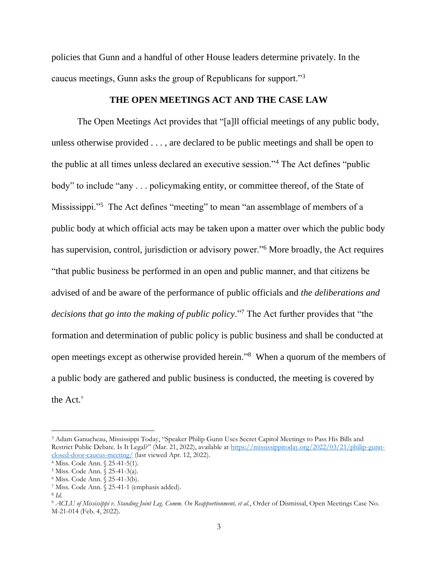policies that Gunn and a handful of other House leaders determine privately. In the caucus meetings, Gunn asks the group of Republicans for support."<sup>3</sup>

## **THE OPEN MEETINGS ACT AND THE CASE LAW**

The Open Meetings Act provides that "[a]ll official meetings of any public body, unless otherwise provided . . . , are declared to be public meetings and shall be open to the public at all times unless declared an executive session."<sup>4</sup> The Act defines "public body" to include "any . . . policymaking entity, or committee thereof, of the State of Mississippi."<sup>5</sup> The Act defines "meeting" to mean "an assemblage of members of a public body at which official acts may be taken upon a matter over which the public body has supervision, control, jurisdiction or advisory power."<sup>6</sup> More broadly, the Act requires "that public business be performed in an open and public manner, and that citizens be advised of and be aware of the performance of public officials and *the deliberations and decisions that go into the making of public policy*."<sup>7</sup> The Act further provides that "the formation and determination of public policy is public business and shall be conducted at open meetings except as otherwise provided herein."<sup>8</sup> When a quorum of the members of a public body are gathered and public business is conducted, the meeting is covered by the Act.<sup>9</sup>

<sup>3</sup> Adam Ganucheau, Mississippi Today, "Speaker Philip Gunn Uses Secret Capitol Meetings to Pass His Bills and Restrict Public Debate. Is It Legal?" (Mar. 21, 2022), available at [https://mississippitoday.org/2022/03/21/philip-gunn](https://mississippitoday.org/2022/03/21/philip-gunn-closed-door-caucus-meeting/)[closed-door-caucus-meeting/](https://mississippitoday.org/2022/03/21/philip-gunn-closed-door-caucus-meeting/) (last viewed Apr. 12, 2022).

<sup>4</sup> Miss. Code Ann. § 25-41-5(1).

<sup>5</sup> Miss. Code Ann. § 25-41-3(a).

<sup>6</sup> Miss. Code Ann. § 25-41-3(b).

<sup>7</sup> Miss. Code Ann. § 25-41-1 (emphasis added).

<sup>8</sup> *Id.*

<sup>9</sup> *ACLU of Mississippi v. Standing Joint Leg. Comm. On Reapportionment, et al.*, Order of Dismissal, Open Meetings Case No. M-21-014 (Feb. 4, 2022).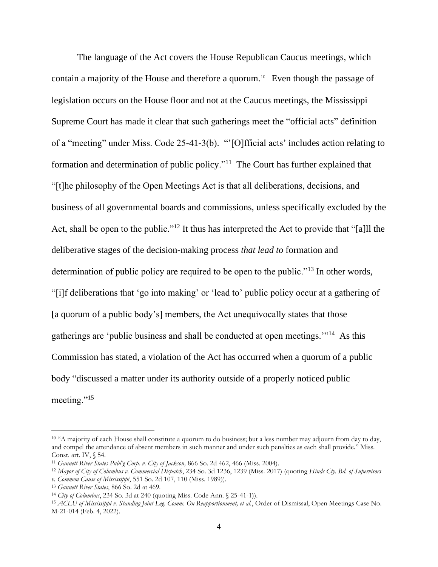The language of the Act covers the House Republican Caucus meetings, which contain a majority of the House and therefore a quorum. 10 Even though the passage of legislation occurs on the House floor and not at the Caucus meetings, the Mississippi Supreme Court has made it clear that such gatherings meet the "official acts" definition of a "meeting" under Miss. Code 25-41-3(b). "'[O]fficial acts' includes action relating to formation and determination of public policy."<sup>11</sup> The Court has further explained that "[t]he philosophy of the Open Meetings Act is that all deliberations, decisions, and business of all governmental boards and commissions, unless specifically excluded by the Act, shall be open to the public."<sup>12</sup> It thus has interpreted the Act to provide that "[a]ll the deliberative stages of the decision-making process *that lead to* formation and determination of public policy are required to be open to the public."<sup>13</sup> In other words, "[i]f deliberations that 'go into making' or 'lead to' public policy occur at a gathering of [a quorum of a public body's] members, the Act unequivocally states that those gatherings are 'public business and shall be conducted at open meetings."<sup>14</sup> As this Commission has stated, a violation of the Act has occurred when a quorum of a public body "discussed a matter under its authority outside of a properly noticed public meeting."<sup>15</sup>

<sup>&</sup>lt;sup>10</sup> "A majority of each House shall constitute a quorum to do business; but a less number may adjourn from day to day, and compel the attendance of absent members in such manner and under such penalties as each shall provide." Miss. Const. art. IV, § 54.

<sup>11</sup> *Gannett River States Publ'g Corp. v. City of Jackson,* 866 So. 2d 462, 466 (Miss. 2004).

<sup>12</sup> *Mayor of City of Columbus v. Commercial Dispatch*, 234 So. 3d 1236, 1239 (Miss. 2017) (quoting *Hinds Cty. Bd. of Supervisors v. Common Cause of Mississippi*, 551 So. 2d 107, 110 (Miss. 1989)).

<sup>13</sup> *Gannett River States*, 866 So. 2d at 469.

<sup>14</sup> *City of Columbus*, 234 So. 3d at 240 (quoting Miss. Code Ann. § 25-41-1)).

<sup>15</sup> *ACLU of Mississippi v. Standing Joint Leg. Comm. On Reapportionment, et al.*, Order of Dismissal, Open Meetings Case No. M-21-014 (Feb. 4, 2022).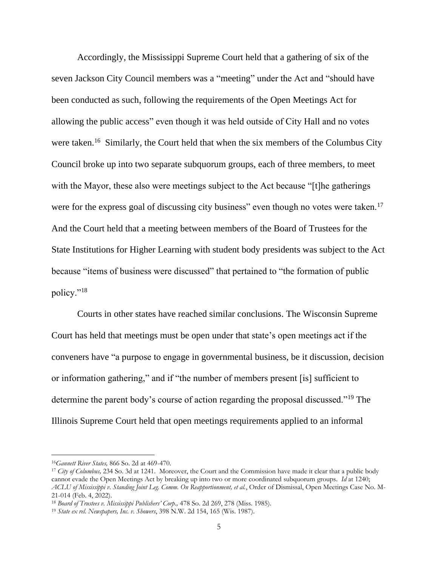Accordingly, the Mississippi Supreme Court held that a gathering of six of the seven Jackson City Council members was a "meeting" under the Act and "should have been conducted as such, following the requirements of the Open Meetings Act for allowing the public access" even though it was held outside of City Hall and no votes were taken.<sup>16</sup> Similarly, the Court held that when the six members of the Columbus City Council broke up into two separate subquorum groups, each of three members, to meet with the Mayor, these also were meetings subject to the Act because "[t] he gatherings were for the express goal of discussing city business" even though no votes were taken.<sup>17</sup> And the Court held that a meeting between members of the Board of Trustees for the State Institutions for Higher Learning with student body presidents was subject to the Act because "items of business were discussed" that pertained to "the formation of public policy."<sup>18</sup>

Courts in other states have reached similar conclusions. The Wisconsin Supreme Court has held that meetings must be open under that state's open meetings act if the conveners have "a purpose to engage in governmental business, be it discussion, decision or information gathering," and if "the number of members present [is] sufficient to determine the parent body's course of action regarding the proposal discussed."<sup>19</sup> The Illinois Supreme Court held that open meetings requirements applied to an informal

<sup>16</sup>*Gannett River States,* 866 So. 2d at 469-470.

<sup>&</sup>lt;sup>17</sup> *City of Columbus,* 234 So. 3d at 1241. Moreover, the Court and the Commission have made it clear that a public body cannot evade the Open Meetings Act by breaking up into two or more coordinated subquorum groups. *Id* at 1240; *ACLU of Mississippi v. Standing Joint Leg. Comm. On Reapportionment, et al.*, Order of Dismissal, Open Meetings Case No. M-21-014 (Feb. 4, 2022).

<sup>&</sup>lt;sup>18</sup> Board of Trustees v. Mississippi Publishers' Corp., 478 So. 2d 269, 278 (Miss. 1985).

<sup>19</sup> *State ex rel. Newspapers, Inc. v. Showers*, 398 N.W. 2d 154, 165 (Wis. 1987).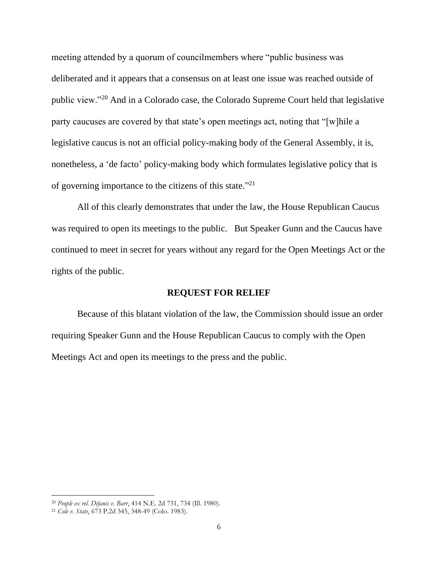meeting attended by a quorum of councilmembers where "public business was deliberated and it appears that a consensus on at least one issue was reached outside of public view."<sup>20</sup> And in a Colorado case, the Colorado Supreme Court held that legislative party caucuses are covered by that state's open meetings act, noting that "[w]hile a legislative caucus is not an official policy-making body of the General Assembly, it is, nonetheless, a 'de facto' policy-making body which formulates legislative policy that is of governing importance to the citizens of this state."<sup>21</sup>

All of this clearly demonstrates that under the law, the House Republican Caucus was required to open its meetings to the public. But Speaker Gunn and the Caucus have continued to meet in secret for years without any regard for the Open Meetings Act or the rights of the public.

# **REQUEST FOR RELIEF**

Because of this blatant violation of the law, the Commission should issue an order requiring Speaker Gunn and the House Republican Caucus to comply with the Open Meetings Act and open its meetings to the press and the public.

<sup>20</sup> *People ex rel. Difanis v. Barr*, 414 N.E. 2d 731, 734 (Ill. 1980).

<sup>21</sup> *Cole v. State*, 673 P.2d 345, 348-49 (Colo. 1983).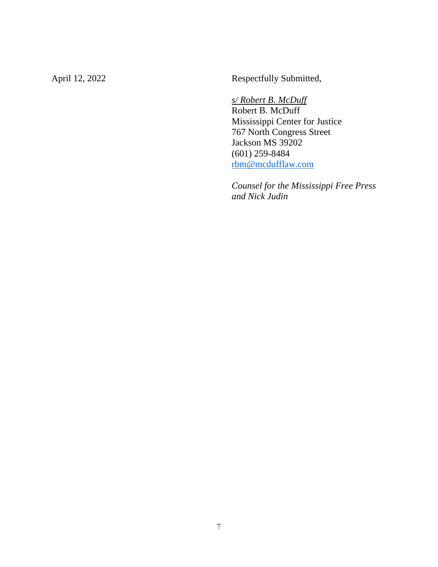April 12, 2022 Respectfully Submitted,

*s/ Robert B. McDuff*

Robert B. McDuff Mississippi Center for Justice 767 North Congress Street Jackson MS 39202 (601) 259-8484 [rbm@mcdufflaw.com](mailto:rbm@mcdufflaw.com)

*Counsel for the Mississippi Free Press and Nick Judin*